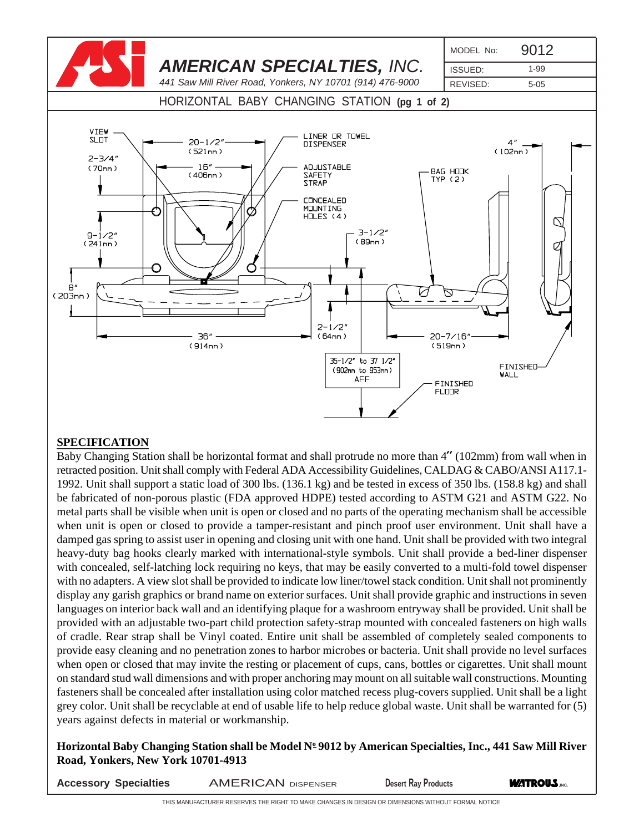

## **SPECIFICATION**

Baby Changing Station shall be horizontal format and shall protrude no more than 4" (102mm) from wall when in retracted position. Unit shall comply with Federal ADA Accessibility Guidelines, CALDAG & CABO/ANSI A117.1- 1992. Unit shall support a static load of 300 lbs. (136.1 kg) and be tested in excess of 350 lbs. (158.8 kg) and shall be fabricated of non-porous plastic (FDA approved HDPE) tested according to ASTM G21 and ASTM G22. No metal parts shall be visible when unit is open or closed and no parts of the operating mechanism shall be accessible when unit is open or closed to provide a tamper-resistant and pinch proof user environment. Unit shall have a damped gas spring to assist user in opening and closing unit with one hand. Unit shall be provided with two integral heavy-duty bag hooks clearly marked with international-style symbols. Unit shall provide a bed-liner dispenser with concealed, self-latching lock requiring no keys, that may be easily converted to a multi-fold towel dispenser with no adapters. A view slot shall be provided to indicate low liner/towel stack condition. Unit shall not prominently display any garish graphics or brand name on exterior surfaces. Unit shall provide graphic and instructions in seven languages on interior back wall and an identifying plaque for a washroom entryway shall be provided. Unit shall be provided with an adjustable two-part child protection safety-strap mounted with concealed fasteners on high walls of cradle. Rear strap shall be Vinyl coated. Entire unit shall be assembled of completely sealed components to provide easy cleaning and no penetration zones to harbor microbes or bacteria. Unit shall provide no level surfaces when open or closed that may invite the resting or placement of cups, cans, bottles or cigarettes. Unit shall mount on standard stud wall dimensions and with proper anchoring may mount on all suitable wall constructions. Mounting fasteners shall be concealed after installation using color matched recess plug-covers supplied. Unit shall be a light grey color. Unit shall be recyclable at end of usable life to help reduce global waste. Unit shall be warranted for (5) years against defects in material or workmanship.

Horizontal Baby Changing Station shall be Model Nº 9012 by American Specialties, Inc., 441 Saw Mill River **Road, Yonkers, New York 10701-4913**

**ACCESSORY Specialties AMERICAN DISPENSER BEST Desert Ray Products <b>WATROUS.** THE